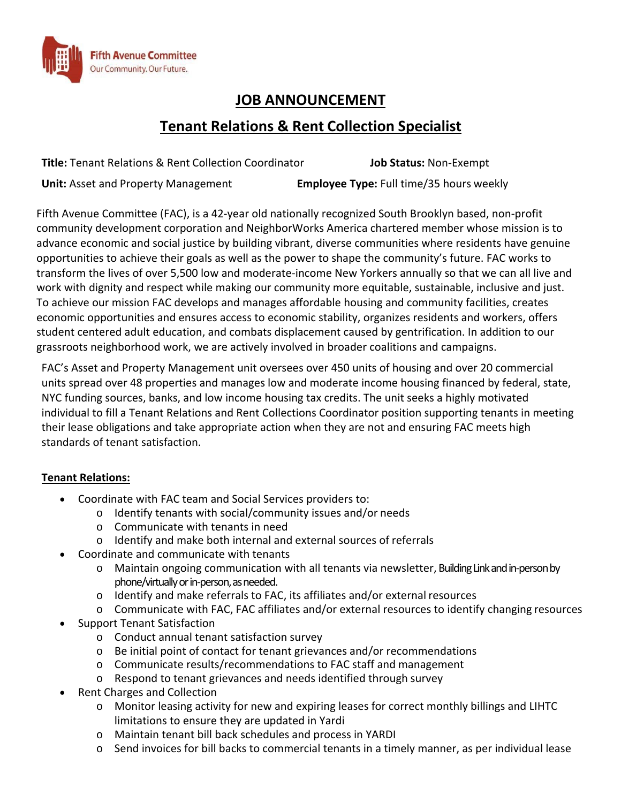

# **JOB ANNOUNCEMENT**

# **Tenant Relations & Rent Collection Specialist**

**Title:** Tenant Relations & Rent Collection Coordinator **Job Status:** Non‐Exempt **Unit:** Asset and Property Management **Employee Type:** Full time/35 hours weekly

Fifth Avenue Committee (FAC), is a 42‐year old nationally recognized South Brooklyn based, non‐profit community development corporation and NeighborWorks America chartered member whose mission is to advance economic and social justice by building vibrant, diverse communities where residents have genuine opportunities to achieve their goals as well as the power to shape the community's future. FAC works to transform the lives of over 5,500 low and moderate‐income New Yorkers annually so that we can all live and work with dignity and respect while making our community more equitable, sustainable, inclusive and just. To achieve our mission FAC develops and manages affordable housing and community facilities, creates economic opportunities and ensures access to economic stability, organizes residents and workers, offers student centered adult education, and combats displacement caused by gentrification. In addition to our grassroots neighborhood work, we are actively involved in broader coalitions and campaigns.

FAC's Asset and Property Management unit oversees over 450 units of housing and over 20 commercial units spread over 48 properties and manages low and moderate income housing financed by federal, state, NYC funding sources, banks, and low income housing tax credits. The unit seeks a highly motivated individual to fill a Tenant Relations and Rent Collections Coordinator position supporting tenants in meeting their lease obligations and take appropriate action when they are not and ensuring FAC meets high standards of tenant satisfaction.

# **Tenant Relations:**

- Coordinate with FAC team and Social Services providers to:
	- o Identify tenants with social/community issues and/or needs
	- o Communicate with tenants in need
	- o Identify and make both internal and external sources of referrals
- Coordinate and communicate with tenants
	- o Maintain ongoing communication with all tenants via newsletter, BuildingLinkandin‐personby phone/virtually or in-person, as needed.
	- o Identify and make referrals to FAC, its affiliates and/or external resources
	- o Communicate with FAC, FAC affiliates and/or external resources to identify changing resources
- Support Tenant Satisfaction
	- o Conduct annual tenant satisfaction survey
	- o Be initial point of contact for tenant grievances and/or recommendations
	- o Communicate results/recommendations to FAC staff and management
	- o Respond to tenant grievances and needs identified through survey
- Rent Charges and Collection
	- o Monitor leasing activity for new and expiring leases for correct monthly billings and LIHTC limitations to ensure they are updated in Yardi
	- o Maintain tenant bill back schedules and process in YARDI
	- $\circ$  Send invoices for bill backs to commercial tenants in a timely manner, as per individual lease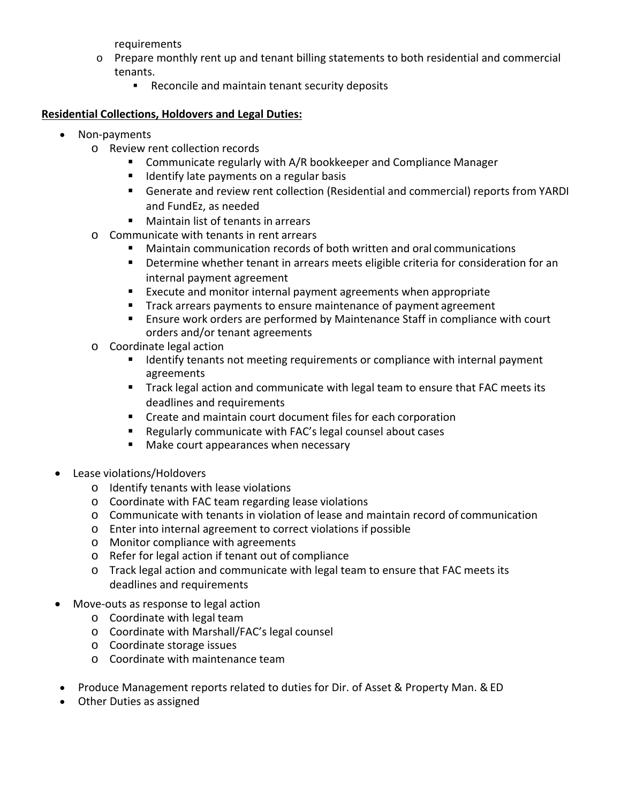requirements

- o Prepare monthly rent up and tenant billing statements to both residential and commercial tenants.
	- **Reconcile and maintain tenant security deposits**

# **Residential Collections, Holdovers and Legal Duties:**

- Non-payments
	- o Review rent collection records
		- **E** Communicate regularly with A/R bookkeeper and Compliance Manager
		- **If** Identify late payments on a regular basis
		- Generate and review rent collection (Residential and commercial) reports from YARDI and FundEz, as needed
		- Maintain list of tenants in arrears
	- o Communicate with tenants in rent arrears
		- Maintain communication records of both written and oral communications
		- Determine whether tenant in arrears meets eligible criteria for consideration for an internal payment agreement
		- Execute and monitor internal payment agreements when appropriate
		- **Track arrears payments to ensure maintenance of payment agreement**
		- Ensure work orders are performed by Maintenance Staff in compliance with court orders and/or tenant agreements
	- o Coordinate legal action
		- **If Identify tenants not meeting requirements or compliance with internal payment** agreements
		- Track legal action and communicate with legal team to ensure that FAC meets its deadlines and requirements
		- **EXTER 2018 Create and maintain court document files for each corporation**
		- Regularly communicate with FAC's legal counsel about cases
		- **Make court appearances when necessary**
- Lease violations/Holdovers
	- o Identify tenants with lease violations
	- o Coordinate with FAC team regarding lease violations
	- o Communicate with tenants in violation of lease and maintain record of communication
	- o Enter into internal agreement to correct violations if possible
	- o Monitor compliance with agreements
	- o Refer for legal action if tenant out of compliance
	- o Track legal action and communicate with legal team to ensure that FAC meets its deadlines and requirements
- Move‐outs as response to legal action
	- o Coordinate with legal team
	- o Coordinate with Marshall/FAC's legal counsel
	- o Coordinate storage issues
	- o Coordinate with maintenance team
	- Produce Management reports related to duties for Dir. of Asset & Property Man. & ED
- Other Duties as assigned